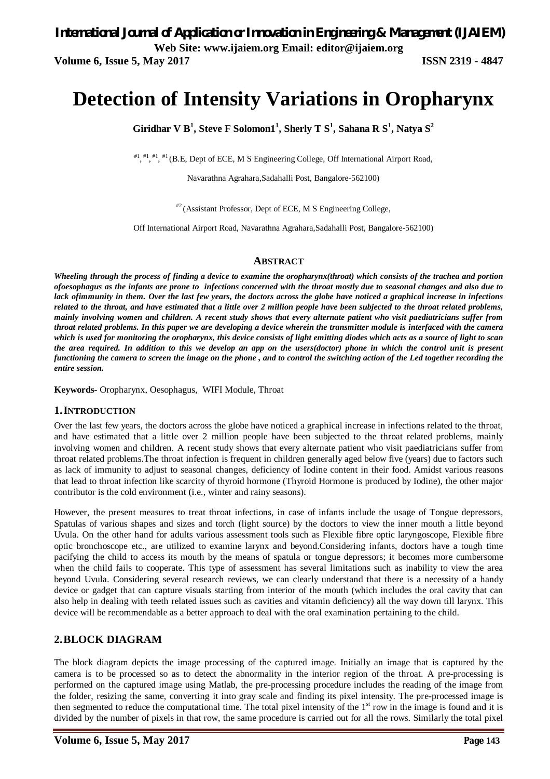*International Journal of Application or Innovation in Engineering & Management (IJAIEM)* **Web Site: www.ijaiem.org Email: editor@ijaiem.org**

**Volume 6, Issue 5, May 2017 ISSN 2319 - 4847** 

# **Detection of Intensity Variations in Oropharynx**

**Giridhar V B<sup>1</sup> , Steve F Solomon1<sup>1</sup> , Sherly T S<sup>1</sup> , Sahana R S<sup>1</sup> , Natya S<sup>2</sup>**

#1, #1, #1, #1 (B.E, Dept of ECE, M S Engineering College, Off International Airport Road,

Navarathna Agrahara,Sadahalli Post, Bangalore-562100)

#2 (Assistant Professor, Dept of ECE, M S Engineering College,

Off International Airport Road, Navarathna Agrahara,Sadahalli Post, Bangalore-562100)

### **ABSTRACT**

*Wheeling through the process of finding a device to examine the oropharynx(throat) which consists of the trachea and portion ofoesophagus as the infants are prone to infections concerned with the throat mostly due to seasonal changes and also due to lack ofimmunity in them. Over the last few years, the doctors across the globe have noticed a graphical increase in infections related to the throat, and have estimated that a little over 2 million people have been subjected to the throat related problems, mainly involving women and children. A recent study shows that every alternate patient who visit paediatricians suffer from throat related problems. In this paper we are developing a device wherein the transmitter module is interfaced with the camera which is used for monitoring the oropharynx, this device consists of light emitting diodes which acts as a source of light to scan the area required. In addition to this we develop an app on the users(doctor) phone in which the control unit is present functioning the camera to screen the image on the phone, and to control the switching action of the Led together recording the entire session.*

**Keywords-** Oropharynx, Oesophagus, WIFI Module, Throat

### **1.INTRODUCTION**

Over the last few years, the doctors across the globe have noticed a graphical increase in infections related to the throat, and have estimated that a little over 2 million people have been subjected to the throat related problems, mainly involving women and children. A recent study shows that every alternate patient who visit paediatricians suffer from throat related problems.The throat infection is frequent in children generally aged below five (years) due to factors such as lack of immunity to adjust to seasonal changes, deficiency of Iodine content in their food. Amidst various reasons that lead to throat infection like scarcity of thyroid hormone (Thyroid Hormone is produced by Iodine), the other major contributor is the cold environment (i.e., winter and rainy seasons).

However, the present measures to treat throat infections, in case of infants include the usage of Tongue depressors, Spatulas of various shapes and sizes and torch (light source) by the doctors to view the inner mouth a little beyond Uvula. On the other hand for adults various assessment tools such as Flexible fibre optic laryngoscope, Flexible fibre optic bronchoscope etc., are utilized to examine larynx and beyond.Considering infants, doctors have a tough time pacifying the child to access its mouth by the means of spatula or tongue depressors; it becomes more cumbersome when the child fails to cooperate. This type of assessment has several limitations such as inability to view the area beyond Uvula. Considering several research reviews, we can clearly understand that there is a necessity of a handy device or gadget that can capture visuals starting from interior of the mouth (which includes the oral cavity that can also help in dealing with teeth related issues such as cavities and vitamin deficiency) all the way down till larynx. This device will be recommendable as a better approach to deal with the oral examination pertaining to the child.

# **2.BLOCK DIAGRAM**

The block diagram depicts the image processing of the captured image. Initially an image that is captured by the camera is to be processed so as to detect the abnormality in the interior region of the throat. A pre-processing is performed on the captured image using Matlab, the pre-processing procedure includes the reading of the image from the folder, resizing the same, converting it into gray scale and finding its pixel intensity. The pre-processed image is then segmented to reduce the computational time. The total pixel intensity of the  $1<sup>st</sup>$  row in the image is found and it is divided by the number of pixels in that row, the same procedure is carried out for all the rows. Similarly the total pixel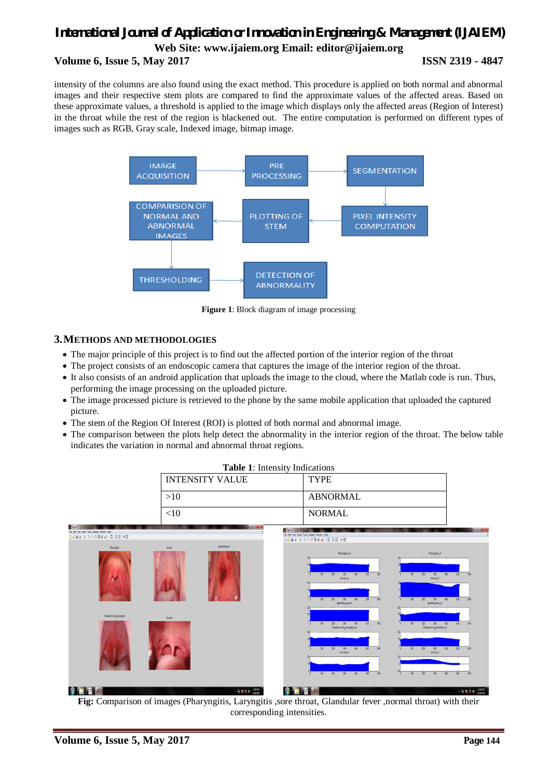# *International Journal of Application or Innovation in Engineering & Management (IJAIEM)* **Web Site: www.ijaiem.org Email: editor@ijaiem.org Volume 6, Issue 5, May 2017 ISSN 2319 - 4847**

intensity of the columns are also found using the exact method. This procedure is applied on both normal and abnormal images and their respective stem plots are compared to find the approximate values of the affected areas. Based on these approximate values, a threshold is applied to the image which displays only the affected areas (Region of Interest) in the throat while the rest of the region is blackened out. The entire computation is performed on different types of images such as RGB, Gray scale, Indexed image, bitmap image.



**Figure 1**: Block diagram of image processing

# **3.METHODS AND METHODOLOGIES**

- The major principle of this project is to find out the affected portion of the interior region of the throat
- The project consists of an endoscopic camera that captures the image of the interior region of the throat.
- It also consists of an android application that uploads the image to the cloud, where the Matlab code is run. Thus, performing the image processing on the uploaded picture.
- The image processed picture is retrieved to the phone by the same mobile application that uploaded the captured picture.
- The stem of the Region Of Interest (ROI) is plotted of both normal and abnormal image.
- The comparison between the plots help detect the abnormality in the interior region of the throat. The below table indicates the variation in normal and abnormal throat regions.

| <b>Table 1:</b> Intensity Indications |               |
|---------------------------------------|---------------|
| <b>INTENSITY VALUE</b>                | <b>TYPE</b>   |
| >10                                   | ABNORMAL      |
| $<$ 10                                | <b>NORMAL</b> |



**Fig:** Comparison of images (Pharyngitis, Laryngitis ,sore throat, Glandular fever ,normal throat) with their corresponding intensities.